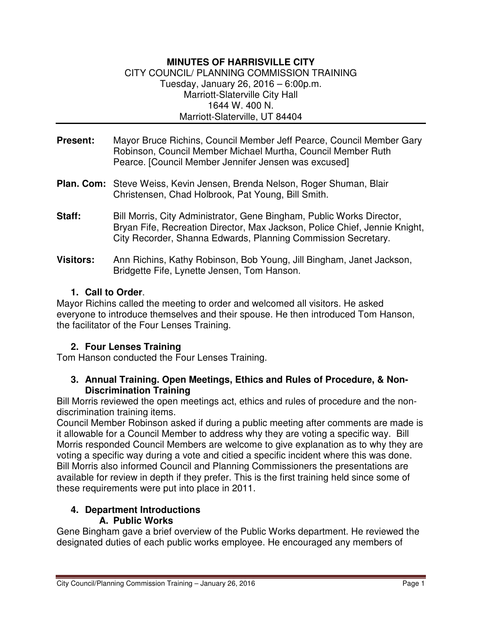#### **MINUTES OF HARRISVILLE CITY**  CITY COUNCIL/ PLANNING COMMISSION TRAINING Tuesday, January 26, 2016 – 6:00p.m. Marriott-Slaterville City Hall 1644 W. 400 N. Marriott-Slaterville, UT 84404

- **Present:** Mayor Bruce Richins, Council Member Jeff Pearce, Council Member Gary Robinson, Council Member Michael Murtha, Council Member Ruth Pearce. [Council Member Jennifer Jensen was excused]
- **Plan. Com:** Steve Weiss, Kevin Jensen, Brenda Nelson, Roger Shuman, Blair Christensen, Chad Holbrook, Pat Young, Bill Smith.
- **Staff:** Bill Morris, City Administrator, Gene Bingham, Public Works Director, Bryan Fife, Recreation Director, Max Jackson, Police Chief, Jennie Knight, City Recorder, Shanna Edwards, Planning Commission Secretary.
- **Visitors:** Ann Richins, Kathy Robinson, Bob Young, Jill Bingham, Janet Jackson, Bridgette Fife, Lynette Jensen, Tom Hanson.

## **1. Call to Order**.

Mayor Richins called the meeting to order and welcomed all visitors. He asked everyone to introduce themselves and their spouse. He then introduced Tom Hanson, the facilitator of the Four Lenses Training.

# **2. Four Lenses Training**

Tom Hanson conducted the Four Lenses Training.

#### **3. Annual Training. Open Meetings, Ethics and Rules of Procedure, & Non-Discrimination Training**

Bill Morris reviewed the open meetings act, ethics and rules of procedure and the nondiscrimination training items.

Council Member Robinson asked if during a public meeting after comments are made is it allowable for a Council Member to address why they are voting a specific way. Bill Morris responded Council Members are welcome to give explanation as to why they are voting a specific way during a vote and citied a specific incident where this was done. Bill Morris also informed Council and Planning Commissioners the presentations are available for review in depth if they prefer. This is the first training held since some of these requirements were put into place in 2011.

#### **4. Department Introductions A. Public Works**

Gene Bingham gave a brief overview of the Public Works department. He reviewed the designated duties of each public works employee. He encouraged any members of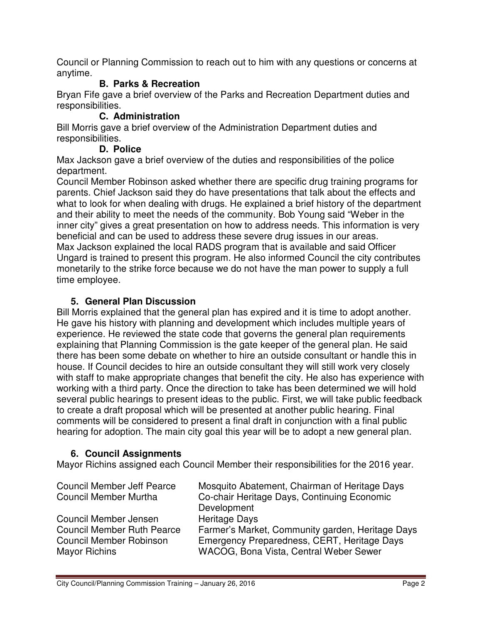Council or Planning Commission to reach out to him with any questions or concerns at anytime.

# **B. Parks & Recreation**

Bryan Fife gave a brief overview of the Parks and Recreation Department duties and responsibilities.

#### **C. Administration**

Bill Morris gave a brief overview of the Administration Department duties and responsibilities.

### **D. Police**

Max Jackson gave a brief overview of the duties and responsibilities of the police department.

Council Member Robinson asked whether there are specific drug training programs for parents. Chief Jackson said they do have presentations that talk about the effects and what to look for when dealing with drugs. He explained a brief history of the department and their ability to meet the needs of the community. Bob Young said "Weber in the inner city" gives a great presentation on how to address needs. This information is very beneficial and can be used to address these severe drug issues in our areas. Max Jackson explained the local RADS program that is available and said Officer Ungard is trained to present this program. He also informed Council the city contributes monetarily to the strike force because we do not have the man power to supply a full time employee.

## **5. General Plan Discussion**

Bill Morris explained that the general plan has expired and it is time to adopt another. He gave his history with planning and development which includes multiple years of experience. He reviewed the state code that governs the general plan requirements explaining that Planning Commission is the gate keeper of the general plan. He said there has been some debate on whether to hire an outside consultant or handle this in house. If Council decides to hire an outside consultant they will still work very closely with staff to make appropriate changes that benefit the city. He also has experience with working with a third party. Once the direction to take has been determined we will hold several public hearings to present ideas to the public. First, we will take public feedback to create a draft proposal which will be presented at another public hearing. Final comments will be considered to present a final draft in conjunction with a final public hearing for adoption. The main city goal this year will be to adopt a new general plan.

# **6. Council Assignments**

Mayor Richins assigned each Council Member their responsibilities for the 2016 year.

| <b>Council Member Jeff Pearce</b> | Mosquito Abatement, Chairman of Heritage Days    |
|-----------------------------------|--------------------------------------------------|
| <b>Council Member Murtha</b>      | Co-chair Heritage Days, Continuing Economic      |
|                                   | Development                                      |
| Council Member Jensen             | <b>Heritage Days</b>                             |
| <b>Council Member Ruth Pearce</b> | Farmer's Market, Community garden, Heritage Days |
| <b>Council Member Robinson</b>    | Emergency Preparedness, CERT, Heritage Days      |
| Mayor Richins                     | WACOG, Bona Vista, Central Weber Sewer           |